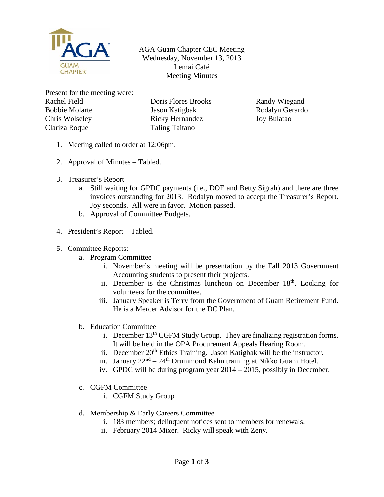

AGA Guam Chapter CEC Meeting Wednesday, November 13, 2013 Lemai Café Meeting Minutes

Present for the meeting were: Rachel Field Bobbie Molarte Chris Wolseley Clariza Roque

Doris Flores Brooks Jason Katigbak Ricky Hernandez Taling Taitano

Randy Wiegand Rodalyn Gerardo Joy Bulatao

- 1. Meeting called to order at 12:06pm.
- 2. Approval of Minutes Tabled.
- 3. Treasurer's Report
	- a. Still waiting for GPDC payments (i.e., DOE and Betty Sigrah) and there are three invoices outstanding for 2013. Rodalyn moved to accept the Treasurer's Report. Joy seconds. All were in favor. Motion passed.
	- b. Approval of Committee Budgets.
- 4. President's Report Tabled.
- 5. Committee Reports:
	- a. Program Committee
		- i. November's meeting will be presentation by the Fall 2013 Government Accounting students to present their projects.
		- ii. December is the Christmas luncheon on December  $18<sup>th</sup>$ . Looking for volunteers for the committee.
		- iii. January Speaker is Terry from the Government of Guam Retirement Fund. He is a Mercer Advisor for the DC Plan.
	- b. Education Committee
		- i. December  $13<sup>th</sup> CGFM Study Group. They are finding registration forms.$ It will be held in the OPA Procurement Appeals Hearing Room.
		- ii. December 20<sup>th</sup> Ethics Training. Jason Katigbak will be the instructor.
		- iii. January  $22<sup>nd</sup> 24<sup>th</sup>$  Drummond Kahn training at Nikko Guam Hotel.
		- iv. GPDC will be during program year 2014 2015, possibly in December.
	- c. CGFM Committee
		- i. CGFM Study Group
	- d. Membership & Early Careers Committee
		- i. 183 members; delinquent notices sent to members for renewals.
		- ii. February 2014 Mixer. Ricky will speak with Zeny.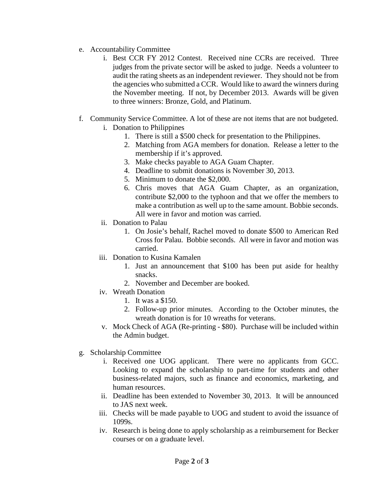- e. Accountability Committee
	- i. Best CCR FY 2012 Contest. Received nine CCRs are received. Three judges from the private sector will be asked to judge. Needs a volunteer to audit the rating sheets as an independent reviewer. They should not be from the agencies who submitted a CCR. Would like to award the winners during the November meeting. If not, by December 2013. Awards will be given to three winners: Bronze, Gold, and Platinum.
- f. Community Service Committee. A lot of these are not items that are not budgeted. i. Donation to Philippines
	- 1. There is still a \$500 check for presentation to the Philippines.
		- 2. Matching from AGA members for donation. Release a letter to the membership if it's approved.
		- 3. Make checks payable to AGA Guam Chapter.
		- 4. Deadline to submit donations is November 30, 2013.
		- 5. Minimum to donate the \$2,000.
		- 6. Chris moves that AGA Guam Chapter, as an organization, contribute \$2,000 to the typhoon and that we offer the members to make a contribution as well up to the same amount. Bobbie seconds. All were in favor and motion was carried.
	- ii. Donation to Palau
		- 1. On Josie's behalf, Rachel moved to donate \$500 to American Red Cross for Palau. Bobbie seconds. All were in favor and motion was carried.
	- iii. Donation to Kusina Kamalen
		- 1. Just an announcement that \$100 has been put aside for healthy snacks.
		- 2. November and December are booked.
	- iv. Wreath Donation
		- 1. It was a \$150.
		- 2. Follow-up prior minutes. According to the October minutes, the wreath donation is for 10 wreaths for veterans.
	- v. Mock Check of AGA (Re-printing \$80). Purchase will be included within the Admin budget.
- g. Scholarship Committee
	- i. Received one UOG applicant. There were no applicants from GCC. Looking to expand the scholarship to part-time for students and other business-related majors, such as finance and economics, marketing, and human resources.
	- ii. Deadline has been extended to November 30, 2013. It will be announced to JAS next week.
	- iii. Checks will be made payable to UOG and student to avoid the issuance of 1099s.
	- iv. Research is being done to apply scholarship as a reimbursement for Becker courses or on a graduate level.